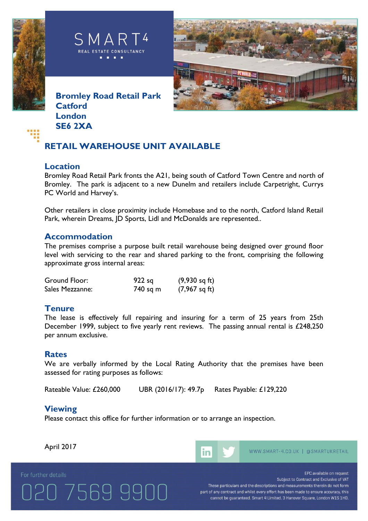





**Bromley Road Retail Park Catford London SE6 2XA**

## **RETAIL WAREHOUSE UNIT AVAILABLE**

### **Location**

Bromley Road Retail Park fronts the A21, being south of Catford Town Centre and north of Bromley. The park is adjacent to a new Dunelm and retailers include Carpetright, Currys PC World and Harvey's.

Other retailers in close proximity include Homebase and to the north, Catford Island Retail Park, wherein Dreams, JD Sports, Lidl and McDonalds are represented..

### **Accommodation**

The premises comprise a purpose built retail warehouse being designed over ground floor level with servicing to the rear and shared parking to the front, comprising the following approximate gross internal areas:

| Ground Floor:   | $922$ sq | $(9,930 \text{ sq ft})$ |
|-----------------|----------|-------------------------|
| Sales Mezzanne: | 740 sq m | $(7,967 \text{ sq ft})$ |

## **Tenure**

The lease is effectively full repairing and insuring for a term of 25 years from 25th December 1999, subject to five yearly rent reviews. The passing annual rental is £248,250 per annum exclusive.

#### **Rates**

We are verbally informed by the Local Rating Authority that the premises have been assessed for rating purposes as follows:

Rateable Value: £260,000 UBR (2016/17): 49.7p Rates Payable: £129,220

## **Viewing**

Please contact this office for further information or to arrange an inspection.

April 2017

20 7569 9900

For further details



EPC available on request

Subject to Contract and Exclusive of VAT These particulars and the descriptions and measurements therein do not form part of any contract and whilst every effort has been made to ensure accuracy, this cannot be guaranteed. Smart 4 Limited. 3 Hanover Square, London W1S 1HD.